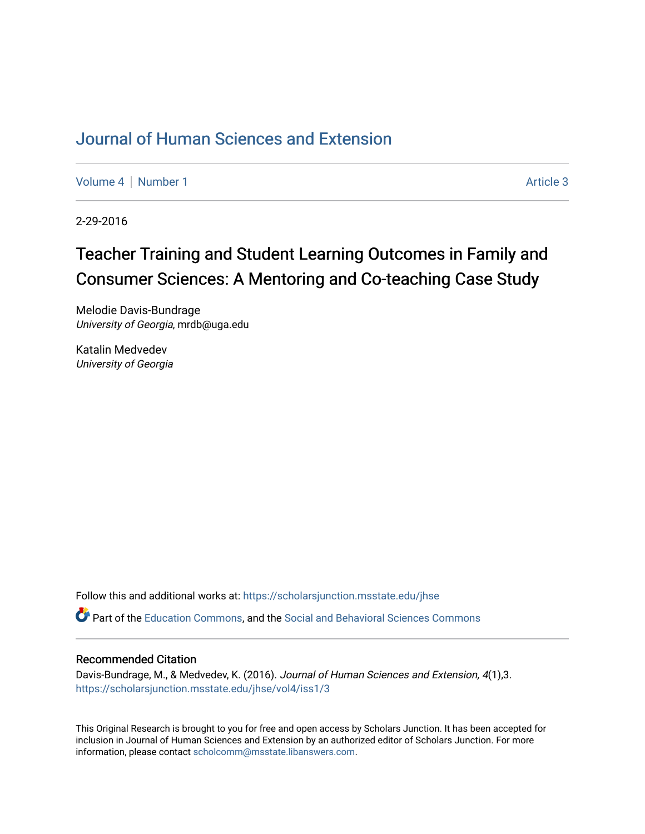## [Journal of Human Sciences and Extension](https://scholarsjunction.msstate.edu/jhse)

[Volume 4](https://scholarsjunction.msstate.edu/jhse/vol4) | [Number 1](https://scholarsjunction.msstate.edu/jhse/vol4/iss1) Article 3

2-29-2016

# Teacher Training and Student Learning Outcomes in Family and Consumer Sciences: A Mentoring and Co-teaching Case Study

Melodie Davis-Bundrage University of Georgia, mrdb@uga.edu

Katalin Medvedev University of Georgia

Follow this and additional works at: [https://scholarsjunction.msstate.edu/jhse](https://scholarsjunction.msstate.edu/jhse?utm_source=scholarsjunction.msstate.edu%2Fjhse%2Fvol4%2Fiss1%2F3&utm_medium=PDF&utm_campaign=PDFCoverPages)

Part of the [Education Commons](http://network.bepress.com/hgg/discipline/784?utm_source=scholarsjunction.msstate.edu%2Fjhse%2Fvol4%2Fiss1%2F3&utm_medium=PDF&utm_campaign=PDFCoverPages), and the [Social and Behavioral Sciences Commons](http://network.bepress.com/hgg/discipline/316?utm_source=scholarsjunction.msstate.edu%2Fjhse%2Fvol4%2Fiss1%2F3&utm_medium=PDF&utm_campaign=PDFCoverPages) 

#### Recommended Citation

Davis-Bundrage, M., & Medvedev, K. (2016). Journal of Human Sciences and Extension, 4(1),3. [https://scholarsjunction.msstate.edu/jhse/vol4/iss1/3](https://scholarsjunction.msstate.edu/jhse/vol4/iss1/3?utm_source=scholarsjunction.msstate.edu%2Fjhse%2Fvol4%2Fiss1%2F3&utm_medium=PDF&utm_campaign=PDFCoverPages)

This Original Research is brought to you for free and open access by Scholars Junction. It has been accepted for inclusion in Journal of Human Sciences and Extension by an authorized editor of Scholars Junction. For more information, please contact [scholcomm@msstate.libanswers.com](mailto:scholcomm@msstate.libanswers.com).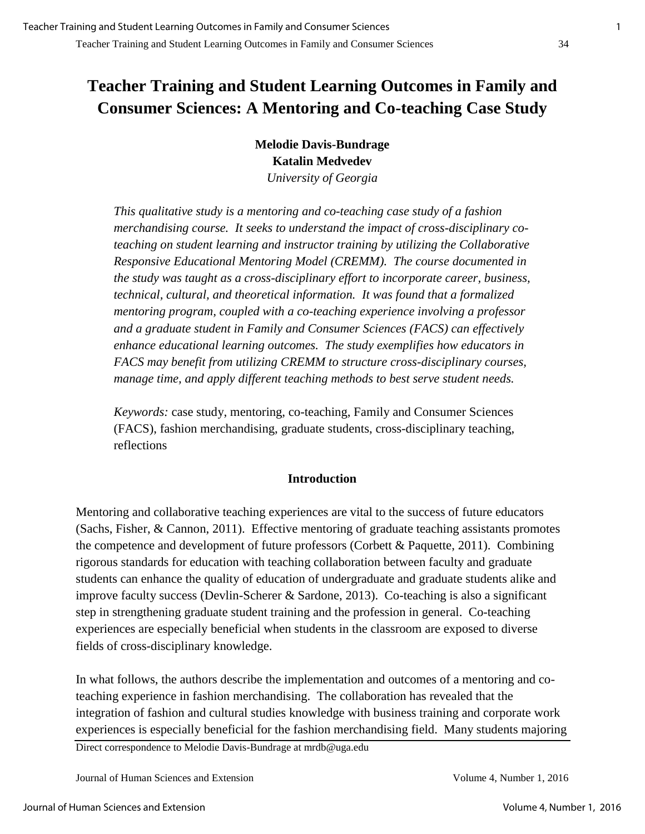## **Teacher Training and Student Learning Outcomes in Family and Consumer Sciences: A Mentoring and Co-teaching Case Study**

**Melodie Davis-Bundrage Katalin Medvedev**  *University of Georgia*

*This qualitative study is a mentoring and co-teaching case study of a fashion merchandising course. It seeks to understand the impact of cross-disciplinary coteaching on student learning and instructor training by utilizing the Collaborative Responsive Educational Mentoring Model (CREMM). The course documented in the study was taught as a cross-disciplinary effort to incorporate career, business, technical, cultural, and theoretical information. It was found that a formalized mentoring program, coupled with a co-teaching experience involving a professor and a graduate student in Family and Consumer Sciences (FACS) can effectively enhance educational learning outcomes. The study exemplifies how educators in FACS may benefit from utilizing CREMM to structure cross-disciplinary courses, manage time, and apply different teaching methods to best serve student needs.* 

*Keywords:* case study, mentoring, co-teaching, Family and Consumer Sciences (FACS), fashion merchandising, graduate students, cross-disciplinary teaching, reflections

### **Introduction**

Mentoring and collaborative teaching experiences are vital to the success of future educators (Sachs, Fisher, & Cannon, 2011). Effective mentoring of graduate teaching assistants promotes the competence and development of future professors (Corbett  $\&$  Paquette, 2011). Combining rigorous standards for education with teaching collaboration between faculty and graduate students can enhance the quality of education of undergraduate and graduate students alike and improve faculty success (Devlin-Scherer & Sardone, 2013). Co-teaching is also a significant step in strengthening graduate student training and the profession in general. Co-teaching experiences are especially beneficial when students in the classroom are exposed to diverse fields of cross-disciplinary knowledge.

In what follows, the authors describe the implementation and outcomes of a mentoring and coteaching experience in fashion merchandising. The collaboration has revealed that the integration of fashion and cultural studies knowledge with business training and corporate work experiences is especially beneficial for the fashion merchandising field. Many students majoring

Direct correspondence to Melodie Davis-Bundrage at mrdb@uga.edu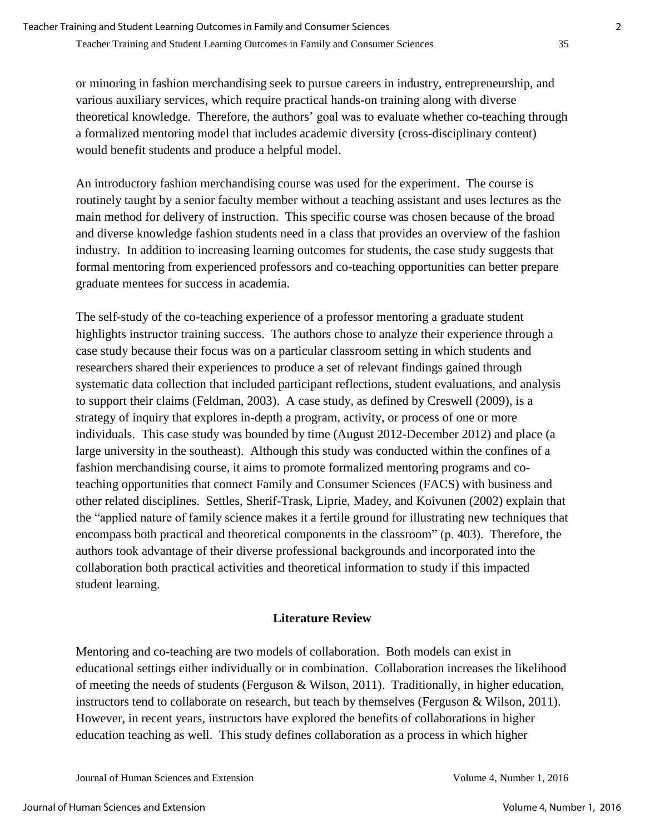or minoring in fashion merchandising seek to pursue careers in industry, entrepreneurship, and various auxiliary services, which require practical hands**-**on training along with diverse theoretical knowledge. Therefore, the authors' goal was to evaluate whether co-teaching through a formalized mentoring model that includes academic diversity (cross-disciplinary content) would benefit students and produce a helpful model.

An introductory fashion merchandising course was used for the experiment. The course is routinely taught by a senior faculty member without a teaching assistant and uses lectures as the main method for delivery of instruction. This specific course was chosen because of the broad and diverse knowledge fashion students need in a class that provides an overview of the fashion industry. In addition to increasing learning outcomes for students, the case study suggests that formal mentoring from experienced professors and co-teaching opportunities can better prepare graduate mentees for success in academia.

The self-study of the co-teaching experience of a professor mentoring a graduate student highlights instructor training success. The authors chose to analyze their experience through a case study because their focus was on a particular classroom setting in which students and researchers shared their experiences to produce a set of relevant findings gained through systematic data collection that included participant reflections, student evaluations, and analysis to support their claims (Feldman, 2003). A case study, as defined by Creswell (2009), is a strategy of inquiry that explores in-depth a program, activity, or process of one or more individuals. This case study was bounded by time (August 2012-December 2012) and place (a large university in the southeast). Although this study was conducted within the confines of a fashion merchandising course, it aims to promote formalized mentoring programs and coteaching opportunities that connect Family and Consumer Sciences (FACS) with business and other related disciplines. Settles, Sherif-Trask, Liprie, Madey, and Koivunen (2002) explain that the "applied nature of family science makes it a fertile ground for illustrating new techniques that encompass both practical and theoretical components in the classroom" (p. 403). Therefore, the authors took advantage of their diverse professional backgrounds and incorporated into the collaboration both practical activities and theoretical information to study if this impacted student learning.

### **Literature Review**

Mentoring and co-teaching are two models of collaboration. Both models can exist in educational settings either individually or in combination. Collaboration increases the likelihood of meeting the needs of students (Ferguson & Wilson, 2011). Traditionally, in higher education, instructors tend to collaborate on research, but teach by themselves (Ferguson & Wilson, 2011). However, in recent years, instructors have explored the benefits of collaborations in higher education teaching as well. This study defines collaboration as a process in which higher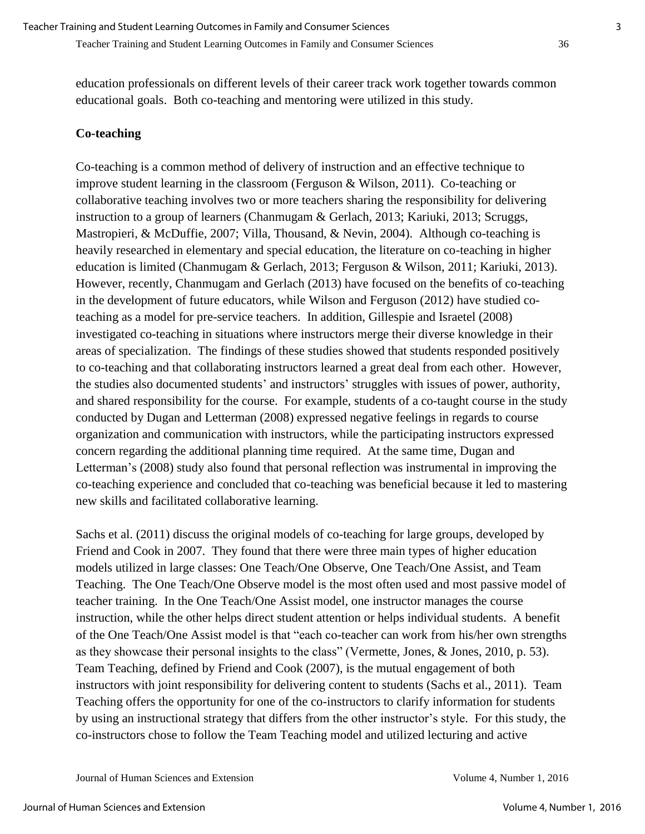education professionals on different levels of their career track work together towards common educational goals. Both co-teaching and mentoring were utilized in this study.

#### **Co-teaching**

Co-teaching is a common method of delivery of instruction and an effective technique to improve student learning in the classroom (Ferguson & Wilson, 2011). Co-teaching or collaborative teaching involves two or more teachers sharing the responsibility for delivering instruction to a group of learners (Chanmugam & Gerlach, 2013; Kariuki, 2013; Scruggs, Mastropieri, & McDuffie, 2007; Villa, Thousand, & Nevin, 2004). Although co-teaching is heavily researched in elementary and special education, the literature on co-teaching in higher education is limited (Chanmugam & Gerlach, 2013; Ferguson & Wilson, 2011; Kariuki, 2013). However, recently, Chanmugam and Gerlach (2013) have focused on the benefits of co-teaching in the development of future educators, while Wilson and Ferguson (2012) have studied coteaching as a model for pre-service teachers. In addition, Gillespie and Israetel (2008) investigated co-teaching in situations where instructors merge their diverse knowledge in their areas of specialization. The findings of these studies showed that students responded positively to co-teaching and that collaborating instructors learned a great deal from each other. However, the studies also documented students' and instructors' struggles with issues of power, authority, and shared responsibility for the course. For example, students of a co-taught course in the study conducted by Dugan and Letterman (2008) expressed negative feelings in regards to course organization and communication with instructors, while the participating instructors expressed concern regarding the additional planning time required. At the same time, Dugan and Letterman's (2008) study also found that personal reflection was instrumental in improving the co-teaching experience and concluded that co-teaching was beneficial because it led to mastering new skills and facilitated collaborative learning.

Sachs et al. (2011) discuss the original models of co-teaching for large groups, developed by Friend and Cook in 2007. They found that there were three main types of higher education models utilized in large classes: One Teach/One Observe, One Teach/One Assist, and Team Teaching. The One Teach/One Observe model is the most often used and most passive model of teacher training. In the One Teach/One Assist model, one instructor manages the course instruction, while the other helps direct student attention or helps individual students. A benefit of the One Teach/One Assist model is that "each co-teacher can work from his/her own strengths as they showcase their personal insights to the class" (Vermette, Jones, & Jones, 2010, p. 53). Team Teaching, defined by Friend and Cook (2007), is the mutual engagement of both instructors with joint responsibility for delivering content to students (Sachs et al., 2011). Team Teaching offers the opportunity for one of the co-instructors to clarify information for students by using an instructional strategy that differs from the other instructor's style. For this study, the co-instructors chose to follow the Team Teaching model and utilized lecturing and active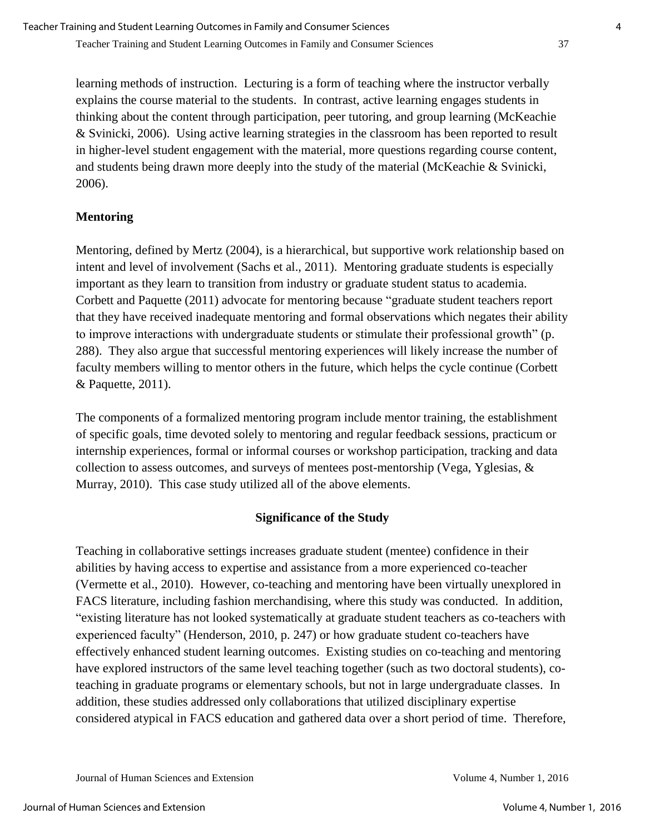learning methods of instruction. Lecturing is a form of teaching where the instructor verbally explains the course material to the students. In contrast, active learning engages students in thinking about the content through participation, peer tutoring, and group learning (McKeachie & Svinicki, 2006). Using active learning strategies in the classroom has been reported to result in higher-level student engagement with the material, more questions regarding course content, and students being drawn more deeply into the study of the material (McKeachie & Svinicki, 2006).

## **Mentoring**

Mentoring, defined by Mertz (2004), is a hierarchical, but supportive work relationship based on intent and level of involvement (Sachs et al., 2011). Mentoring graduate students is especially important as they learn to transition from industry or graduate student status to academia. Corbett and Paquette (2011) advocate for mentoring because "graduate student teachers report that they have received inadequate mentoring and formal observations which negates their ability to improve interactions with undergraduate students or stimulate their professional growth" (p. 288). They also argue that successful mentoring experiences will likely increase the number of faculty members willing to mentor others in the future, which helps the cycle continue (Corbett & Paquette, 2011).

The components of a formalized mentoring program include mentor training, the establishment of specific goals, time devoted solely to mentoring and regular feedback sessions, practicum or internship experiences, formal or informal courses or workshop participation, tracking and data collection to assess outcomes, and surveys of mentees post-mentorship (Vega, Yglesias, & Murray, 2010). This case study utilized all of the above elements.

## **Significance of the Study**

Teaching in collaborative settings increases graduate student (mentee) confidence in their abilities by having access to expertise and assistance from a more experienced co-teacher (Vermette et al., 2010). However, co-teaching and mentoring have been virtually unexplored in FACS literature, including fashion merchandising, where this study was conducted. In addition, "existing literature has not looked systematically at graduate student teachers as co-teachers with experienced faculty" (Henderson, 2010, p. 247) or how graduate student co-teachers have effectively enhanced student learning outcomes. Existing studies on co-teaching and mentoring have explored instructors of the same level teaching together (such as two doctoral students), coteaching in graduate programs or elementary schools, but not in large undergraduate classes. In addition, these studies addressed only collaborations that utilized disciplinary expertise considered atypical in FACS education and gathered data over a short period of time. Therefore,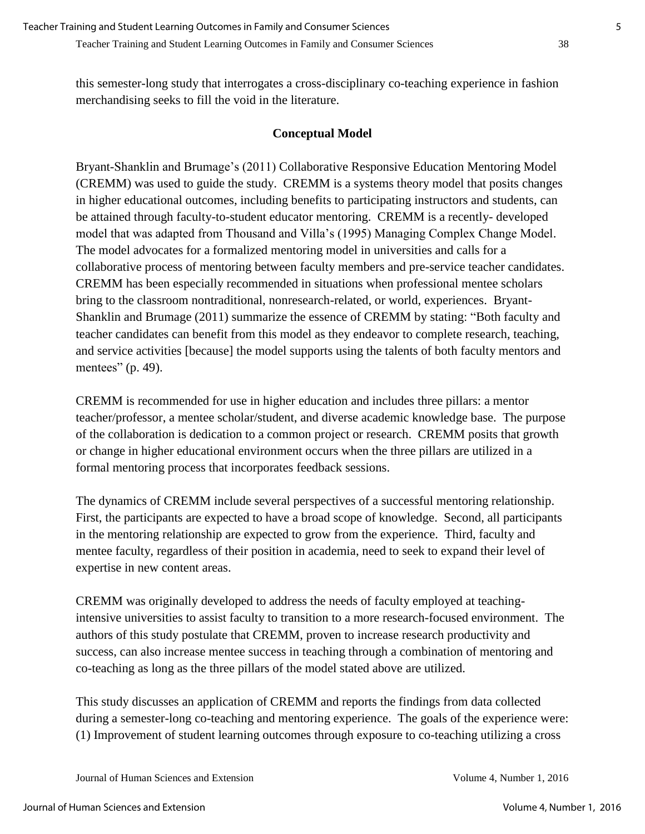this semester-long study that interrogates a cross-disciplinary co-teaching experience in fashion merchandising seeks to fill the void in the literature.

### **Conceptual Model**

Bryant-Shanklin and Brumage's (2011) Collaborative Responsive Education Mentoring Model (CREMM) was used to guide the study. CREMM is a systems theory model that posits changes in higher educational outcomes, including benefits to participating instructors and students, can be attained through faculty-to-student educator mentoring. CREMM is a recently- developed model that was adapted from Thousand and Villa's (1995) Managing Complex Change Model. The model advocates for a formalized mentoring model in universities and calls for a collaborative process of mentoring between faculty members and pre-service teacher candidates. CREMM has been especially recommended in situations when professional mentee scholars bring to the classroom nontraditional, nonresearch-related, or world, experiences. Bryant-Shanklin and Brumage (2011) summarize the essence of CREMM by stating: "Both faculty and teacher candidates can benefit from this model as they endeavor to complete research, teaching, and service activities [because] the model supports using the talents of both faculty mentors and mentees" (p. 49).

CREMM is recommended for use in higher education and includes three pillars: a mentor teacher/professor, a mentee scholar/student, and diverse academic knowledge base. The purpose of the collaboration is dedication to a common project or research. CREMM posits that growth or change in higher educational environment occurs when the three pillars are utilized in a formal mentoring process that incorporates feedback sessions.

The dynamics of CREMM include several perspectives of a successful mentoring relationship. First, the participants are expected to have a broad scope of knowledge. Second, all participants in the mentoring relationship are expected to grow from the experience. Third, faculty and mentee faculty, regardless of their position in academia, need to seek to expand their level of expertise in new content areas.

CREMM was originally developed to address the needs of faculty employed at teachingintensive universities to assist faculty to transition to a more research-focused environment. The authors of this study postulate that CREMM, proven to increase research productivity and success, can also increase mentee success in teaching through a combination of mentoring and co-teaching as long as the three pillars of the model stated above are utilized.

This study discusses an application of CREMM and reports the findings from data collected during a semester-long co-teaching and mentoring experience. The goals of the experience were: (1) Improvement of student learning outcomes through exposure to co-teaching utilizing a cross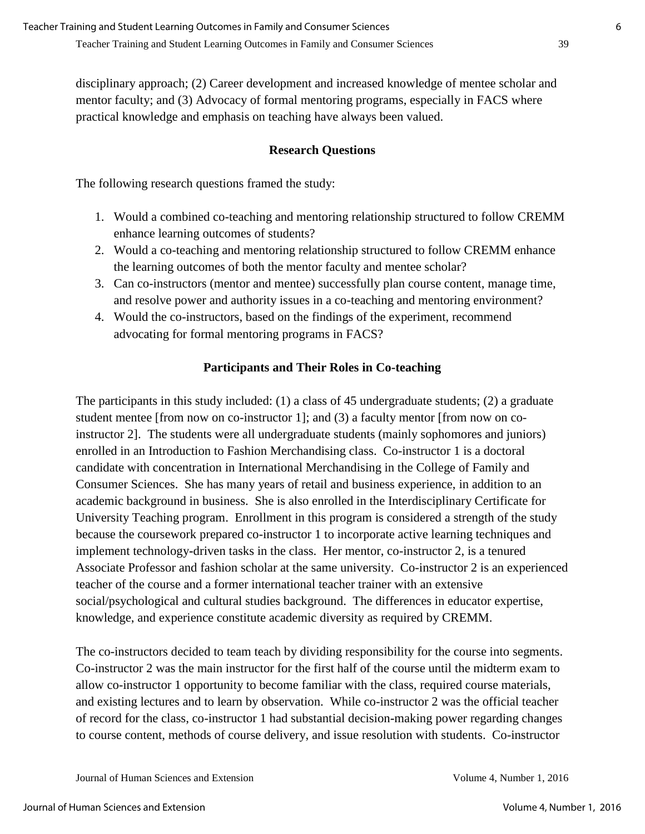disciplinary approach; (2) Career development and increased knowledge of mentee scholar and mentor faculty; and (3) Advocacy of formal mentoring programs, especially in FACS where practical knowledge and emphasis on teaching have always been valued.

### **Research Questions**

The following research questions framed the study:

- 1. Would a combined co-teaching and mentoring relationship structured to follow CREMM enhance learning outcomes of students?
- 2. Would a co-teaching and mentoring relationship structured to follow CREMM enhance the learning outcomes of both the mentor faculty and mentee scholar?
- 3. Can co-instructors (mentor and mentee) successfully plan course content, manage time, and resolve power and authority issues in a co-teaching and mentoring environment?
- 4. Would the co-instructors, based on the findings of the experiment, recommend advocating for formal mentoring programs in FACS?

### **Participants and Their Roles in Co-teaching**

The participants in this study included: (1) a class of 45 undergraduate students; (2) a graduate student mentee [from now on co-instructor 1]; and (3) a faculty mentor [from now on coinstructor 2]. The students were all undergraduate students (mainly sophomores and juniors) enrolled in an Introduction to Fashion Merchandising class. Co-instructor 1 is a doctoral candidate with concentration in International Merchandising in the College of Family and Consumer Sciences. She has many years of retail and business experience, in addition to an academic background in business. She is also enrolled in the Interdisciplinary Certificate for University Teaching program. Enrollment in this program is considered a strength of the study because the coursework prepared co-instructor 1 to incorporate active learning techniques and implement technology**-**driven tasks in the class. Her mentor, co-instructor 2, is a tenured Associate Professor and fashion scholar at the same university. Co-instructor 2 is an experienced teacher of the course and a former international teacher trainer with an extensive social/psychological and cultural studies background. The differences in educator expertise, knowledge, and experience constitute academic diversity as required by CREMM.

The co-instructors decided to team teach by dividing responsibility for the course into segments. Co-instructor 2 was the main instructor for the first half of the course until the midterm exam to allow co-instructor 1 opportunity to become familiar with the class, required course materials, and existing lectures and to learn by observation. While co-instructor 2 was the official teacher of record for the class, co-instructor 1 had substantial decision**-**making power regarding changes to course content, methods of course delivery, and issue resolution with students. Co-instructor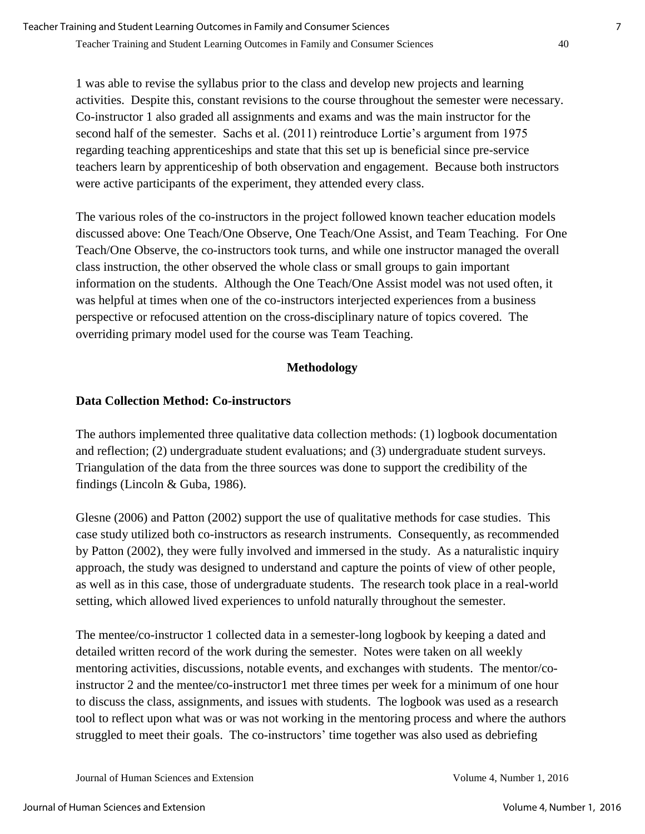1 was able to revise the syllabus prior to the class and develop new projects and learning activities. Despite this, constant revisions to the course throughout the semester were necessary. Co-instructor 1 also graded all assignments and exams and was the main instructor for the second half of the semester. Sachs et al. (2011) reintroduce Lortie's argument from 1975 regarding teaching apprenticeships and state that this set up is beneficial since pre-service teachers learn by apprenticeship of both observation and engagement. Because both instructors were active participants of the experiment, they attended every class.

The various roles of the co-instructors in the project followed known teacher education models discussed above: One Teach/One Observe, One Teach/One Assist, and Team Teaching. For One Teach/One Observe, the co-instructors took turns, and while one instructor managed the overall class instruction, the other observed the whole class or small groups to gain important information on the students. Although the One Teach/One Assist model was not used often, it was helpful at times when one of the co-instructors interjected experiences from a business perspective or refocused attention on the cross**-**disciplinary nature of topics covered. The overriding primary model used for the course was Team Teaching.

## **Methodology**

### **Data Collection Method: Co-instructors**

The authors implemented three qualitative data collection methods: (1) logbook documentation and reflection; (2) undergraduate student evaluations; and (3) undergraduate student surveys. Triangulation of the data from the three sources was done to support the credibility of the findings (Lincoln & Guba, 1986).

Glesne (2006) and Patton (2002) support the use of qualitative methods for case studies. This case study utilized both co-instructors as research instruments. Consequently, as recommended by Patton (2002), they were fully involved and immersed in the study. As a naturalistic inquiry approach, the study was designed to understand and capture the points of view of other people, as well as in this case, those of undergraduate students. The research took place in a real**-**world setting, which allowed lived experiences to unfold naturally throughout the semester.

The mentee/co-instructor 1 collected data in a semester-long logbook by keeping a dated and detailed written record of the work during the semester. Notes were taken on all weekly mentoring activities, discussions, notable events, and exchanges with students. The mentor/coinstructor 2 and the mentee/co-instructor1 met three times per week for a minimum of one hour to discuss the class, assignments, and issues with students. The logbook was used as a research tool to reflect upon what was or was not working in the mentoring process and where the authors struggled to meet their goals. The co-instructors' time together was also used as debriefing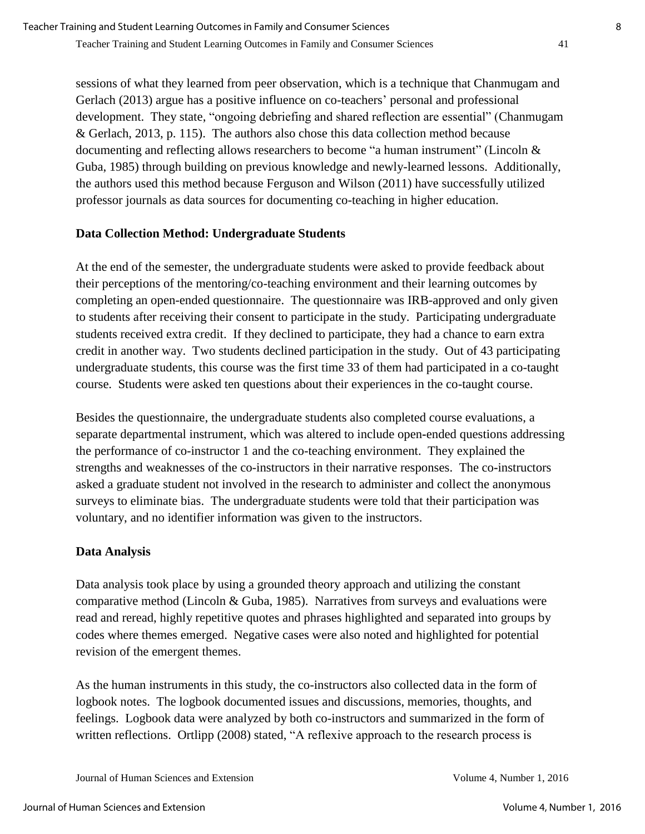sessions of what they learned from peer observation, which is a technique that Chanmugam and Gerlach (2013) argue has a positive influence on co-teachers' personal and professional development. They state, "ongoing debriefing and shared reflection are essential" (Chanmugam & Gerlach, 2013, p. 115). The authors also chose this data collection method because documenting and reflecting allows researchers to become "a human instrument" (Lincoln & Guba, 1985) through building on previous knowledge and newly-learned lessons. Additionally, the authors used this method because Ferguson and Wilson (2011) have successfully utilized professor journals as data sources for documenting co-teaching in higher education.

### **Data Collection Method: Undergraduate Students**

At the end of the semester, the undergraduate students were asked to provide feedback about their perceptions of the mentoring/co-teaching environment and their learning outcomes by completing an open-ended questionnaire. The questionnaire was IRB-approved and only given to students after receiving their consent to participate in the study. Participating undergraduate students received extra credit. If they declined to participate, they had a chance to earn extra credit in another way. Two students declined participation in the study. Out of 43 participating undergraduate students, this course was the first time 33 of them had participated in a co-taught course. Students were asked ten questions about their experiences in the co-taught course.

Besides the questionnaire, the undergraduate students also completed course evaluations, a separate departmental instrument, which was altered to include open**-**ended questions addressing the performance of co-instructor 1 and the co-teaching environment. They explained the strengths and weaknesses of the co-instructors in their narrative responses. The co**-**instructors asked a graduate student not involved in the research to administer and collect the anonymous surveys to eliminate bias. The undergraduate students were told that their participation was voluntary, and no identifier information was given to the instructors.

### **Data Analysis**

Data analysis took place by using a grounded theory approach and utilizing the constant comparative method (Lincoln & Guba, 1985). Narratives from surveys and evaluations were read and reread, highly repetitive quotes and phrases highlighted and separated into groups by codes where themes emerged. Negative cases were also noted and highlighted for potential revision of the emergent themes.

As the human instruments in this study, the co-instructors also collected data in the form of logbook notes. The logbook documented issues and discussions, memories, thoughts, and feelings. Logbook data were analyzed by both co-instructors and summarized in the form of written reflections. Ortlipp (2008) stated, "A reflexive approach to the research process is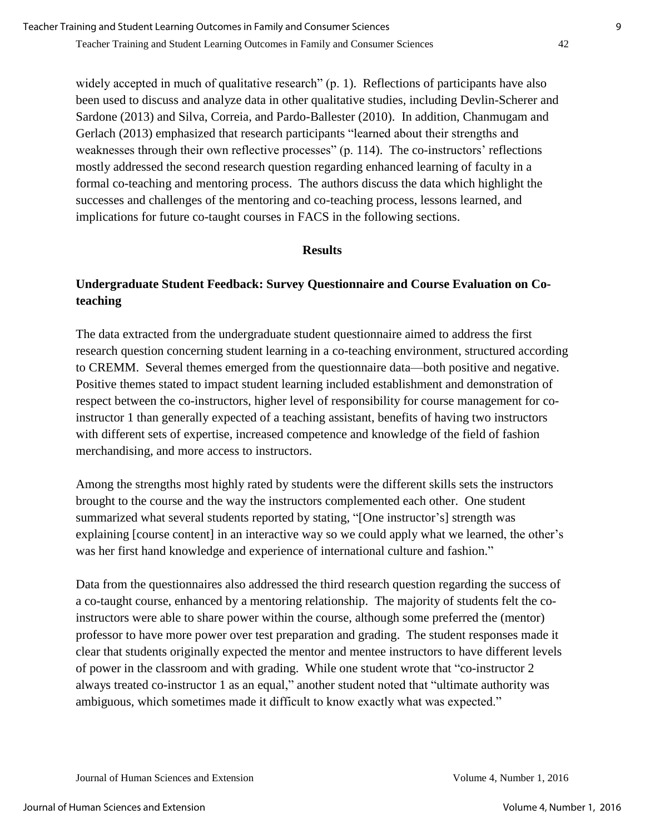widely accepted in much of qualitative research" (p. 1). Reflections of participants have also been used to discuss and analyze data in other qualitative studies, including Devlin-Scherer and Sardone (2013) and Silva, Correia, and Pardo-Ballester (2010). In addition, Chanmugam and Gerlach (2013) emphasized that research participants "learned about their strengths and weaknesses through their own reflective processes" (p. 114). The co-instructors' reflections mostly addressed the second research question regarding enhanced learning of faculty in a formal co-teaching and mentoring process. The authors discuss the data which highlight the successes and challenges of the mentoring and co-teaching process, lessons learned, and implications for future co-taught courses in FACS in the following sections.

#### **Results**

## **Undergraduate Student Feedback: Survey Questionnaire and Course Evaluation on Coteaching**

The data extracted from the undergraduate student questionnaire aimed to address the first research question concerning student learning in a co-teaching environment, structured according to CREMM. Several themes emerged from the questionnaire data—both positive and negative. Positive themes stated to impact student learning included establishment and demonstration of respect between the co-instructors, higher level of responsibility for course management for coinstructor 1 than generally expected of a teaching assistant, benefits of having two instructors with different sets of expertise, increased competence and knowledge of the field of fashion merchandising, and more access to instructors.

Among the strengths most highly rated by students were the different skills sets the instructors brought to the course and the way the instructors complemented each other. One student summarized what several students reported by stating, "[One instructor's] strength was explaining [course content] in an interactive way so we could apply what we learned, the other's was her first hand knowledge and experience of international culture and fashion."

Data from the questionnaires also addressed the third research question regarding the success of a co-taught course, enhanced by a mentoring relationship. The majority of students felt the coinstructors were able to share power within the course, although some preferred the (mentor) professor to have more power over test preparation and grading. The student responses made it clear that students originally expected the mentor and mentee instructors to have different levels of power in the classroom and with grading. While one student wrote that "co-instructor 2 always treated co-instructor 1 as an equal," another student noted that "ultimate authority was ambiguous, which sometimes made it difficult to know exactly what was expected."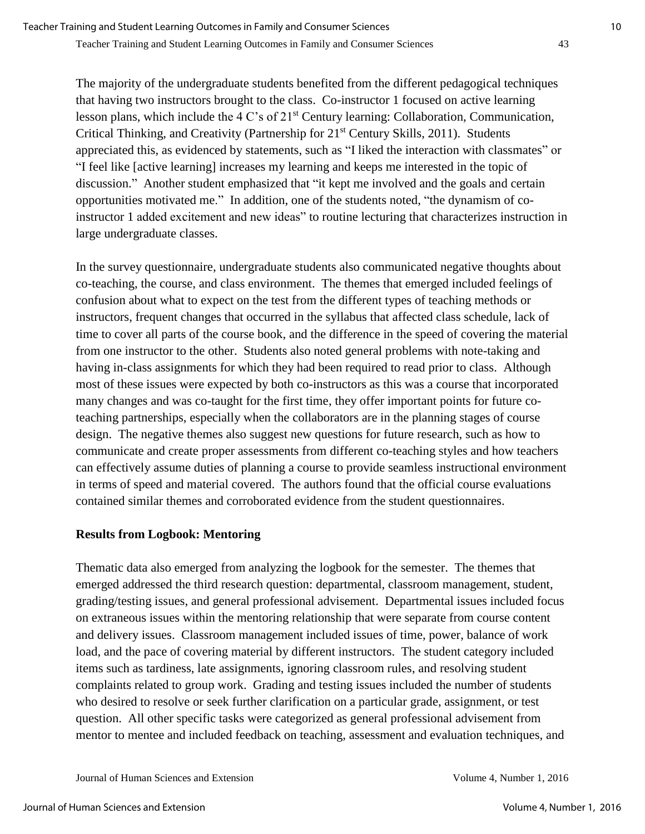The majority of the undergraduate students benefited from the different pedagogical techniques that having two instructors brought to the class. Co-instructor 1 focused on active learning lesson plans, which include the 4 C's of 21st Century learning: Collaboration, Communication, Critical Thinking, and Creativity (Partnership for 21<sup>st</sup> Century Skills, 2011). Students appreciated this, as evidenced by statements, such as "I liked the interaction with classmates" or "I feel like [active learning] increases my learning and keeps me interested in the topic of discussion." Another student emphasized that "it kept me involved and the goals and certain opportunities motivated me." In addition, one of the students noted, "the dynamism of coinstructor 1 added excitement and new ideas" to routine lecturing that characterizes instruction in large undergraduate classes.

In the survey questionnaire, undergraduate students also communicated negative thoughts about co-teaching, the course, and class environment. The themes that emerged included feelings of confusion about what to expect on the test from the different types of teaching methods or instructors, frequent changes that occurred in the syllabus that affected class schedule, lack of time to cover all parts of the course book, and the difference in the speed of covering the material from one instructor to the other. Students also noted general problems with note-taking and having in-class assignments for which they had been required to read prior to class. Although most of these issues were expected by both co-instructors as this was a course that incorporated many changes and was co-taught for the first time, they offer important points for future coteaching partnerships, especially when the collaborators are in the planning stages of course design. The negative themes also suggest new questions for future research, such as how to communicate and create proper assessments from different co-teaching styles and how teachers can effectively assume duties of planning a course to provide seamless instructional environment in terms of speed and material covered. The authors found that the official course evaluations contained similar themes and corroborated evidence from the student questionnaires.

#### **Results from Logbook: Mentoring**

Thematic data also emerged from analyzing the logbook for the semester. The themes that emerged addressed the third research question: departmental, classroom management, student, grading/testing issues, and general professional advisement. Departmental issues included focus on extraneous issues within the mentoring relationship that were separate from course content and delivery issues. Classroom management included issues of time, power, balance of work load, and the pace of covering material by different instructors. The student category included items such as tardiness, late assignments, ignoring classroom rules, and resolving student complaints related to group work. Grading and testing issues included the number of students who desired to resolve or seek further clarification on a particular grade, assignment, or test question. All other specific tasks were categorized as general professional advisement from mentor to mentee and included feedback on teaching, assessment and evaluation techniques, and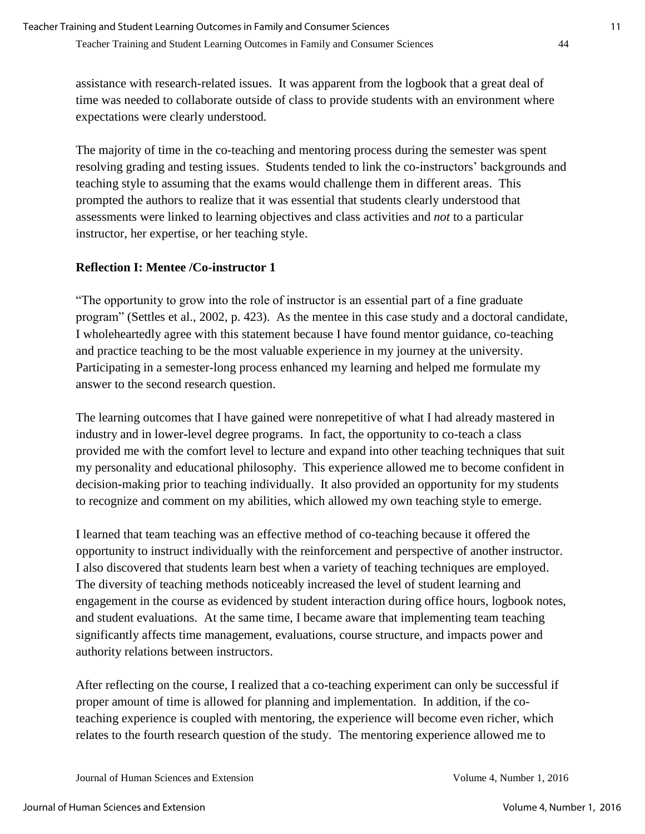assistance with research-related issues. It was apparent from the logbook that a great deal of time was needed to collaborate outside of class to provide students with an environment where expectations were clearly understood.

The majority of time in the co-teaching and mentoring process during the semester was spent resolving grading and testing issues. Students tended to link the co-instructors' backgrounds and teaching style to assuming that the exams would challenge them in different areas. This prompted the authors to realize that it was essential that students clearly understood that assessments were linked to learning objectives and class activities and *not* to a particular instructor, her expertise, or her teaching style.

### **Reflection I: Mentee /Co-instructor 1**

"The opportunity to grow into the role of instructor is an essential part of a fine graduate program" (Settles et al., 2002, p. 423). As the mentee in this case study and a doctoral candidate, I wholeheartedly agree with this statement because I have found mentor guidance, co-teaching and practice teaching to be the most valuable experience in my journey at the university. Participating in a semester-long process enhanced my learning and helped me formulate my answer to the second research question.

The learning outcomes that I have gained were nonrepetitive of what I had already mastered in industry and in lower**-**level degree programs. In fact, the opportunity to co-teach a class provided me with the comfort level to lecture and expand into other teaching techniques that suit my personality and educational philosophy. This experience allowed me to become confident in decision**-**making prior to teaching individually. It also provided an opportunity for my students to recognize and comment on my abilities, which allowed my own teaching style to emerge.

I learned that team teaching was an effective method of co-teaching because it offered the opportunity to instruct individually with the reinforcement and perspective of another instructor. I also discovered that students learn best when a variety of teaching techniques are employed. The diversity of teaching methods noticeably increased the level of student learning and engagement in the course as evidenced by student interaction during office hours, logbook notes, and student evaluations. At the same time, I became aware that implementing team teaching significantly affects time management, evaluations, course structure, and impacts power and authority relations between instructors.

After reflecting on the course, I realized that a co-teaching experiment can only be successful if proper amount of time is allowed for planning and implementation. In addition, if the coteaching experience is coupled with mentoring, the experience will become even richer, which relates to the fourth research question of the study. The mentoring experience allowed me to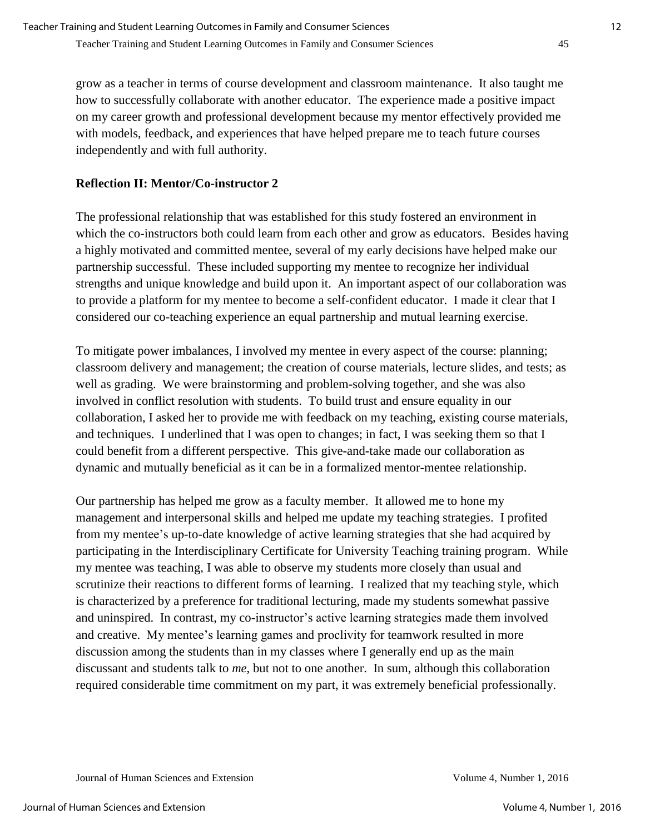grow as a teacher in terms of course development and classroom maintenance. It also taught me how to successfully collaborate with another educator. The experience made a positive impact on my career growth and professional development because my mentor effectively provided me with models, feedback, and experiences that have helped prepare me to teach future courses independently and with full authority.

### **Reflection II: Mentor/Co-instructor 2**

The professional relationship that was established for this study fostered an environment in which the co-instructors both could learn from each other and grow as educators. Besides having a highly motivated and committed mentee, several of my early decisions have helped make our partnership successful. These included supporting my mentee to recognize her individual strengths and unique knowledge and build upon it. An important aspect of our collaboration was to provide a platform for my mentee to become a self-confident educator. I made it clear that I considered our co-teaching experience an equal partnership and mutual learning exercise.

To mitigate power imbalances, I involved my mentee in every aspect of the course: planning; classroom delivery and management; the creation of course materials, lecture slides, and tests; as well as grading. We were brainstorming and problem**-**solving together, and she was also involved in conflict resolution with students. To build trust and ensure equality in our collaboration, I asked her to provide me with feedback on my teaching, existing course materials, and techniques. I underlined that I was open to changes; in fact, I was seeking them so that I could benefit from a different perspective. This give**-**and**-**take made our collaboration as dynamic and mutually beneficial as it can be in a formalized mentor-mentee relationship.

Our partnership has helped me grow as a faculty member. It allowed me to hone my management and interpersonal skills and helped me update my teaching strategies. I profited from my mentee's up-to-date knowledge of active learning strategies that she had acquired by participating in the Interdisciplinary Certificate for University Teaching training program. While my mentee was teaching, I was able to observe my students more closely than usual and scrutinize their reactions to different forms of learning. I realized that my teaching style, which is characterized by a preference for traditional lecturing, made my students somewhat passive and uninspired. In contrast, my co-instructor's active learning strategies made them involved and creative. My mentee's learning games and proclivity for teamwork resulted in more discussion among the students than in my classes where I generally end up as the main discussant and students talk to *me*, but not to one another. In sum, although this collaboration required considerable time commitment on my part, it was extremely beneficial professionally.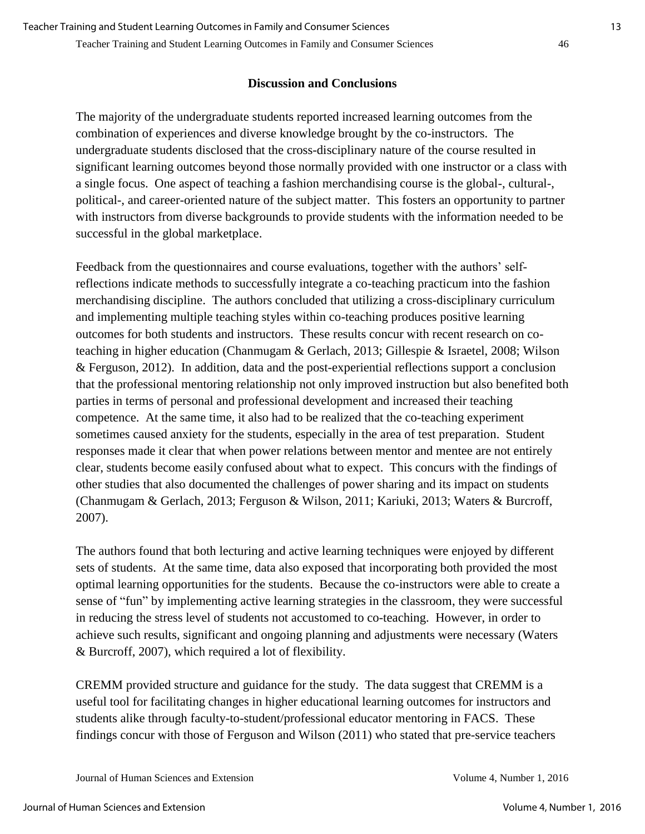#### **Discussion and Conclusions**

The majority of the undergraduate students reported increased learning outcomes from the combination of experiences and diverse knowledge brought by the co-instructors. The undergraduate students disclosed that the cross-disciplinary nature of the course resulted in significant learning outcomes beyond those normally provided with one instructor or a class with a single focus. One aspect of teaching a fashion merchandising course is the global-, cultural-, political-, and career-oriented nature of the subject matter. This fosters an opportunity to partner with instructors from diverse backgrounds to provide students with the information needed to be successful in the global marketplace.

Feedback from the questionnaires and course evaluations, together with the authors' selfreflections indicate methods to successfully integrate a co-teaching practicum into the fashion merchandising discipline. The authors concluded that utilizing a cross-disciplinary curriculum and implementing multiple teaching styles within co-teaching produces positive learning outcomes for both students and instructors. These results concur with recent research on coteaching in higher education (Chanmugam & Gerlach, 2013; Gillespie & Israetel, 2008; Wilson & Ferguson, 2012). In addition, data and the post-experiential reflections support a conclusion that the professional mentoring relationship not only improved instruction but also benefited both parties in terms of personal and professional development and increased their teaching competence. At the same time, it also had to be realized that the co-teaching experiment sometimes caused anxiety for the students, especially in the area of test preparation. Student responses made it clear that when power relations between mentor and mentee are not entirely clear, students become easily confused about what to expect. This concurs with the findings of other studies that also documented the challenges of power sharing and its impact on students (Chanmugam & Gerlach, 2013; Ferguson & Wilson, 2011; Kariuki, 2013; Waters & Burcroff, 2007).

The authors found that both lecturing and active learning techniques were enjoyed by different sets of students. At the same time, data also exposed that incorporating both provided the most optimal learning opportunities for the students. Because the co-instructors were able to create a sense of "fun" by implementing active learning strategies in the classroom, they were successful in reducing the stress level of students not accustomed to co-teaching. However, in order to achieve such results, significant and ongoing planning and adjustments were necessary (Waters & Burcroff, 2007), which required a lot of flexibility.

CREMM provided structure and guidance for the study. The data suggest that CREMM is a useful tool for facilitating changes in higher educational learning outcomes for instructors and students alike through faculty-to-student/professional educator mentoring in FACS. These findings concur with those of Ferguson and Wilson (2011) who stated that pre-service teachers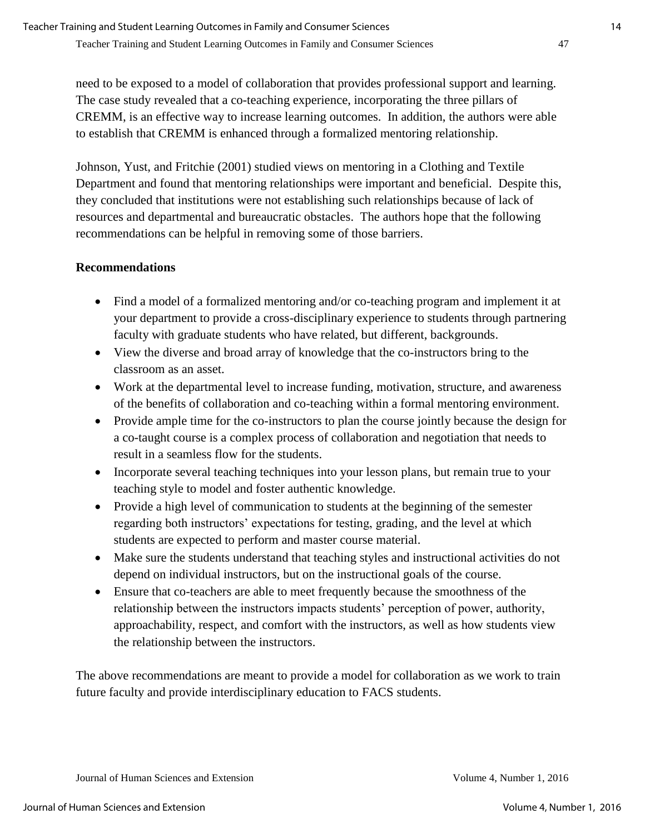need to be exposed to a model of collaboration that provides professional support and learning. The case study revealed that a co-teaching experience, incorporating the three pillars of CREMM, is an effective way to increase learning outcomes. In addition, the authors were able to establish that CREMM is enhanced through a formalized mentoring relationship.

Johnson, Yust, and Fritchie (2001) studied views on mentoring in a Clothing and Textile Department and found that mentoring relationships were important and beneficial. Despite this, they concluded that institutions were not establishing such relationships because of lack of resources and departmental and bureaucratic obstacles. The authors hope that the following recommendations can be helpful in removing some of those barriers.

#### **Recommendations**

- Find a model of a formalized mentoring and/or co-teaching program and implement it at your department to provide a cross-disciplinary experience to students through partnering faculty with graduate students who have related, but different, backgrounds.
- View the diverse and broad array of knowledge that the co-instructors bring to the classroom as an asset.
- Work at the departmental level to increase funding, motivation, structure, and awareness of the benefits of collaboration and co-teaching within a formal mentoring environment.
- Provide ample time for the co-instructors to plan the course jointly because the design for a co-taught course is a complex process of collaboration and negotiation that needs to result in a seamless flow for the students.
- Incorporate several teaching techniques into your lesson plans, but remain true to your teaching style to model and foster authentic knowledge.
- Provide a high level of communication to students at the beginning of the semester regarding both instructors' expectations for testing, grading, and the level at which students are expected to perform and master course material.
- Make sure the students understand that teaching styles and instructional activities do not depend on individual instructors, but on the instructional goals of the course.
- Ensure that co-teachers are able to meet frequently because the smoothness of the relationship between the instructors impacts students' perception of power, authority, approachability, respect, and comfort with the instructors, as well as how students view the relationship between the instructors.

The above recommendations are meant to provide a model for collaboration as we work to train future faculty and provide interdisciplinary education to FACS students.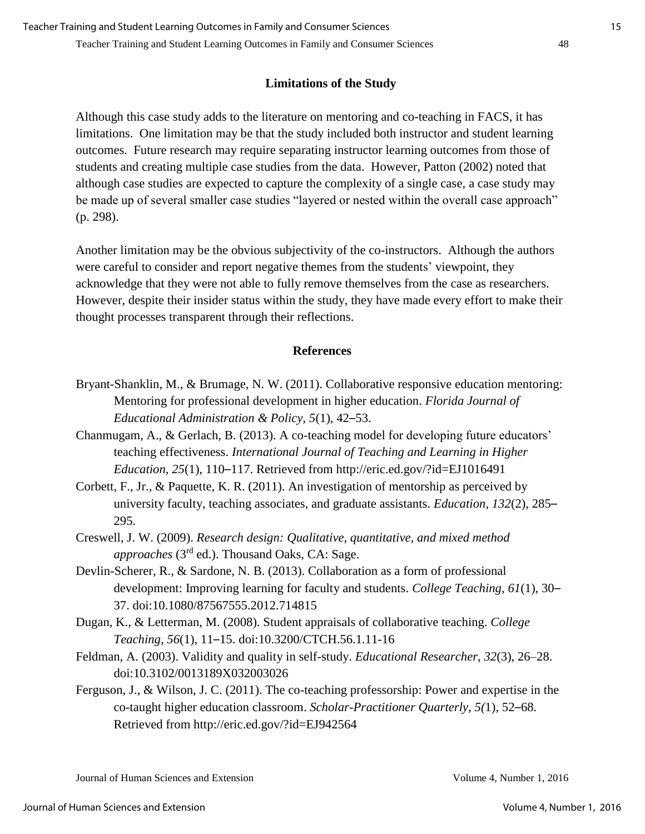### **Limitations of the Study**

Although this case study adds to the literature on mentoring and co-teaching in FACS, it has limitations. One limitation may be that the study included both instructor and student learning outcomes. Future research may require separating instructor learning outcomes from those of students and creating multiple case studies from the data. However, Patton (2002) noted that although case studies are expected to capture the complexity of a single case, a case study may be made up of several smaller case studies "layered or nested within the overall case approach" (p. 298).

Another limitation may be the obvious subjectivity of the co-instructors. Although the authors were careful to consider and report negative themes from the students' viewpoint, they acknowledge that they were not able to fully remove themselves from the case as researchers. However, despite their insider status within the study, they have made every effort to make their thought processes transparent through their reflections.

#### **References**

- Bryant-Shanklin, M., & Brumage, N. W. (2011). Collaborative responsive education mentoring: Mentoring for professional development in higher education. *Florida Journal of Educational Administration & Policy, 5*(1), 42–53.
- Chanmugam, A., & Gerlach, B. (2013). A co-teaching model for developing future educators' teaching effectiveness. *International Journal of Teaching and Learning in Higher Education, 25*(1), 110–117. Retrieved from http://eric.ed.gov/?id=EJ1016491
- Corbett, F., Jr., & Paquette, K. R. (2011). An investigation of mentorship as perceived by university faculty, teaching associates, and graduate assistants. *Education, 132*(2), 285– 295.
- Creswell, J. W. (2009). *Research design: Qualitative, quantitative, and mixed method approaches* (3rd ed.). Thousand Oaks, CA: Sage.
- Devlin-Scherer, R., & Sardone, N. B. (2013). Collaboration as a form of professional development: Improving learning for faculty and students. *College Teaching, 61*(1), 30– 37. doi:10.1080/87567555.2012.714815
- Dugan, K., & Letterman, M. (2008). Student appraisals of collaborative teaching. *College Teaching, 56*(1), 11–15. doi:10.3200/CTCH.56.1.11-16
- Feldman, A. (2003). Validity and quality in self-study. *Educational Researcher, 32*(3), 26–28. doi:10.3102/0013189X032003026
- Ferguson, J., & Wilson, J. C. (2011). The co-teaching professorship: Power and expertise in the co-taught higher education classroom. *Scholar-Practitioner Quarterly, 5(*1), 52–68. Retrieved from http://eric.ed.gov/?id=EJ942564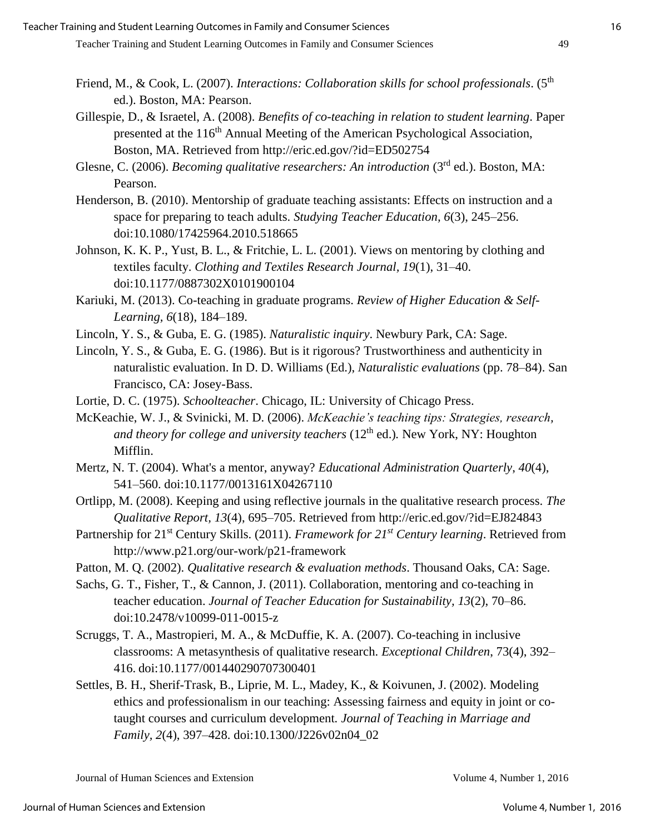- Friend, M., & Cook, L. (2007). *Interactions: Collaboration skills for school professionals*. (5<sup>th</sup> ed.). Boston, MA: Pearson.
- Gillespie, D., & Israetel, A. (2008). *Benefits of co-teaching in relation to student learning*. Paper presented at the 116<sup>th</sup> Annual Meeting of the American Psychological Association, Boston, MA. Retrieved from http://eric.ed.gov/?id=ED502754
- Glesne, C. (2006). *Becoming qualitative researchers: An introduction* (3rd ed.). Boston, MA: Pearson.
- Henderson, B. (2010). Mentorship of graduate teaching assistants: Effects on instruction and a space for preparing to teach adults. *Studying Teacher Education, 6*(3), 245–256. doi:10.1080/17425964.2010.518665
- Johnson, K. K. P., Yust, B. L., & Fritchie, L. L. (2001). Views on mentoring by clothing and textiles faculty. *Clothing and Textiles Research Journal, 19*(1), 31–40. doi:10.1177/0887302X0101900104
- Kariuki, M. (2013). Co-teaching in graduate programs. *Review of Higher Education & Self-Learning, 6*(18), 184–189.
- Lincoln, Y. S., & Guba, E. G. (1985). *Naturalistic inquiry*. Newbury Park, CA: Sage.
- Lincoln, Y. S., & Guba, E. G. (1986). But is it rigorous? Trustworthiness and authenticity in naturalistic evaluation. In D. D. Williams (Ed.), *Naturalistic evaluations* (pp. 78–84). San Francisco, CA: Josey-Bass.
- Lortie, D. C. (1975). *Schoolteacher*. Chicago, IL: University of Chicago Press.
- McKeachie, W. J., & Svinicki, M. D. (2006). *McKeachie's teaching tips: Strategies, research, and theory for college and university teachers* (12<sup>th</sup> ed.). New York, NY: Houghton Mifflin.
- Mertz, N. T. (2004). What's a mentor, anyway? *Educational Administration Quarterly*, *40*(4), 541–560. doi:10.1177/0013161X04267110
- Ortlipp, M. (2008). Keeping and using reflective journals in the qualitative research process. *The Qualitative Report, 13*(4), 695–705. Retrieved from http://eric.ed.gov/?id=EJ824843
- Partnership for 21st Century Skills. (2011). *Framework for 21st Century learning*. Retrieved from http://www.p21.org/our-work/p21-framework
- Patton, M. Q. (2002). *Qualitative research & evaluation methods*. Thousand Oaks, CA: Sage.
- Sachs, G. T., Fisher, T., & Cannon, J. (2011). Collaboration, mentoring and co-teaching in teacher education. *Journal of Teacher Education for Sustainability, 13*(2), 70–86. doi:10.2478/v10099-011-0015-z
- Scruggs, T. A., Mastropieri, M. A., & McDuffie, K. A. (2007). Co-teaching in inclusive classrooms: A metasynthesis of qualitative research. *Exceptional Children*, 73(4), 392– 416. doi:10.1177/001440290707300401
- Settles, B. H., Sherif-Trask, B., Liprie, M. L., Madey, K., & Koivunen, J. (2002). Modeling ethics and professionalism in our teaching: Assessing fairness and equity in joint or cotaught courses and curriculum development*. Journal of Teaching in Marriage and Family, 2*(4), 397–428. doi:10.1300/J226v02n04\_02